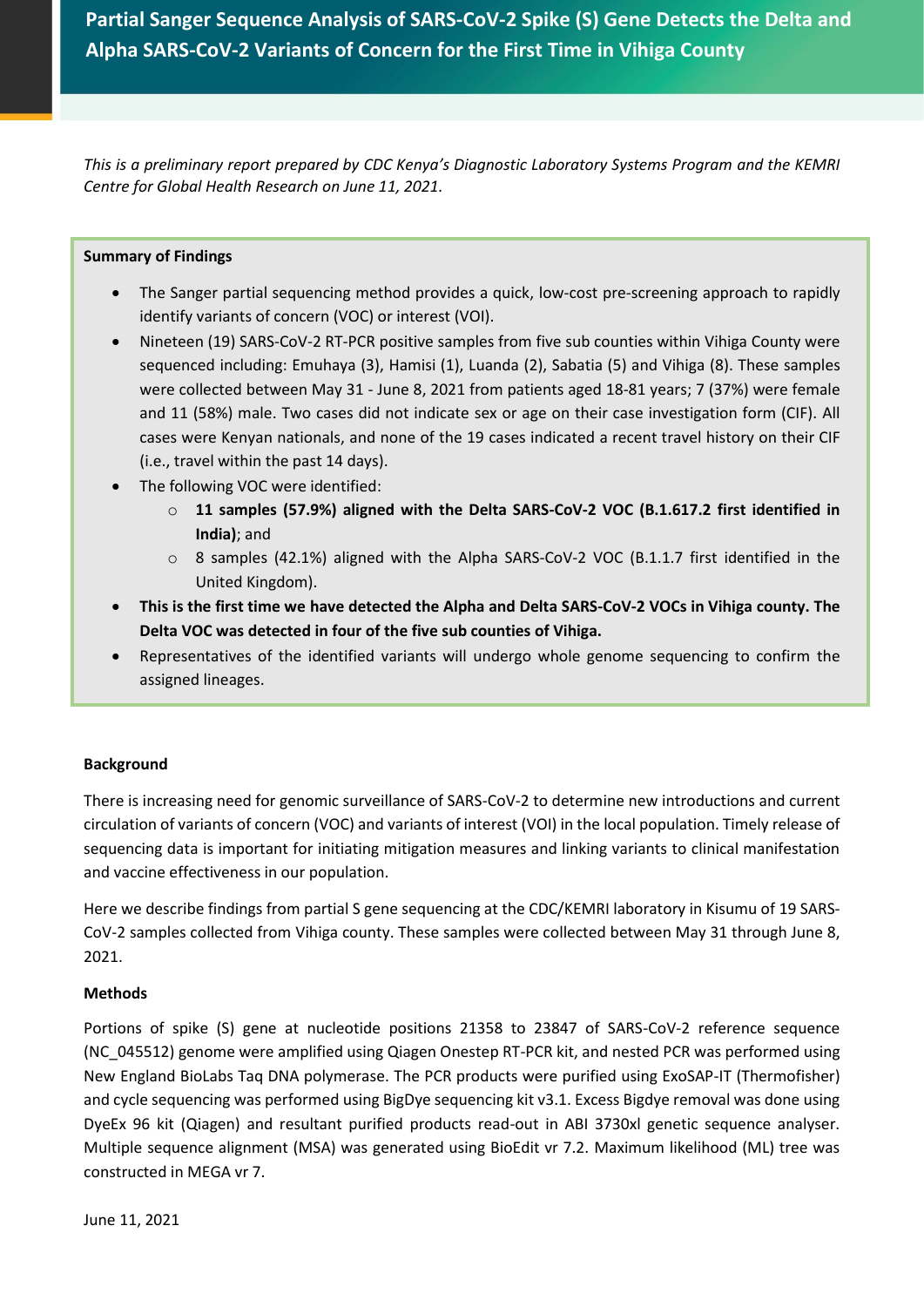**Partial Sanger Sequence Analysis of SARS-CoV-2 Spike (S) Gene Detects the Delta and Alpha SARS-CoV-2 Variants of Concern for the First Time in Vihiga County**

*This is a preliminary report prepared by CDC Kenya's Diagnostic Laboratory Systems Program and the KEMRI Centre for Global Health Research on June 11, 2021.*

### **Summary of Findings**

- The Sanger partial sequencing method provides a quick, low-cost pre-screening approach to rapidly identify variants of concern (VOC) or interest (VOI).
- Nineteen (19) SARS-CoV-2 RT-PCR positive samples from five sub counties within Vihiga County were sequenced including: Emuhaya (3), Hamisi (1), Luanda (2), Sabatia (5) and Vihiga (8). These samples were collected between May 31 - June 8, 2021 from patients aged 18-81 years; 7 (37%) were female and 11 (58%) male. Two cases did not indicate sex or age on their case investigation form (CIF). All cases were Kenyan nationals, and none of the 19 cases indicated a recent travel history on their CIF (i.e., travel within the past 14 days).
- The following VOC were identified:
	- o **11 samples (57.9%) aligned with the Delta SARS-CoV-2 VOC (B.1.617.2 first identified in India)**; and
	- o 8 samples (42.1%) aligned with the Alpha SARS-CoV-2 VOC (B.1.1.7 first identified in the United Kingdom).
- **This is the first time we have detected the Alpha and Delta SARS-CoV-2 VOCs in Vihiga county. The Delta VOC was detected in four of the five sub counties of Vihiga.**
- Representatives of the identified variants will undergo whole genome sequencing to confirm the assigned lineages.

# **Background**

There is increasing need for genomic surveillance of SARS-CoV-2 to determine new introductions and current circulation of variants of concern (VOC) and variants of interest (VOI) in the local population. Timely release of sequencing data is important for initiating mitigation measures and linking variants to clinical manifestation and vaccine effectiveness in our population.

Here we describe findings from partial S gene sequencing at the CDC/KEMRI laboratory in Kisumu of 19 SARS-CoV-2 samples collected from Vihiga county. These samples were collected between May 31 through June 8, 2021.

# **Methods**

Portions of spike (S) gene at nucleotide positions 21358 to 23847 of SARS-CoV-2 reference sequence (NC\_045512) genome were amplified using Qiagen Onestep RT-PCR kit, and nested PCR was performed using New England BioLabs Taq DNA polymerase. The PCR products were purified using ExoSAP-IT (Thermofisher) and cycle sequencing was performed using BigDye sequencing kit v3.1. Excess Bigdye removal was done using DyeEx 96 kit (Qiagen) and resultant purified products read-out in ABI 3730xl genetic sequence analyser. Multiple sequence alignment (MSA) was generated using BioEdit vr 7.2. Maximum likelihood (ML) tree was constructed in MEGA vr 7.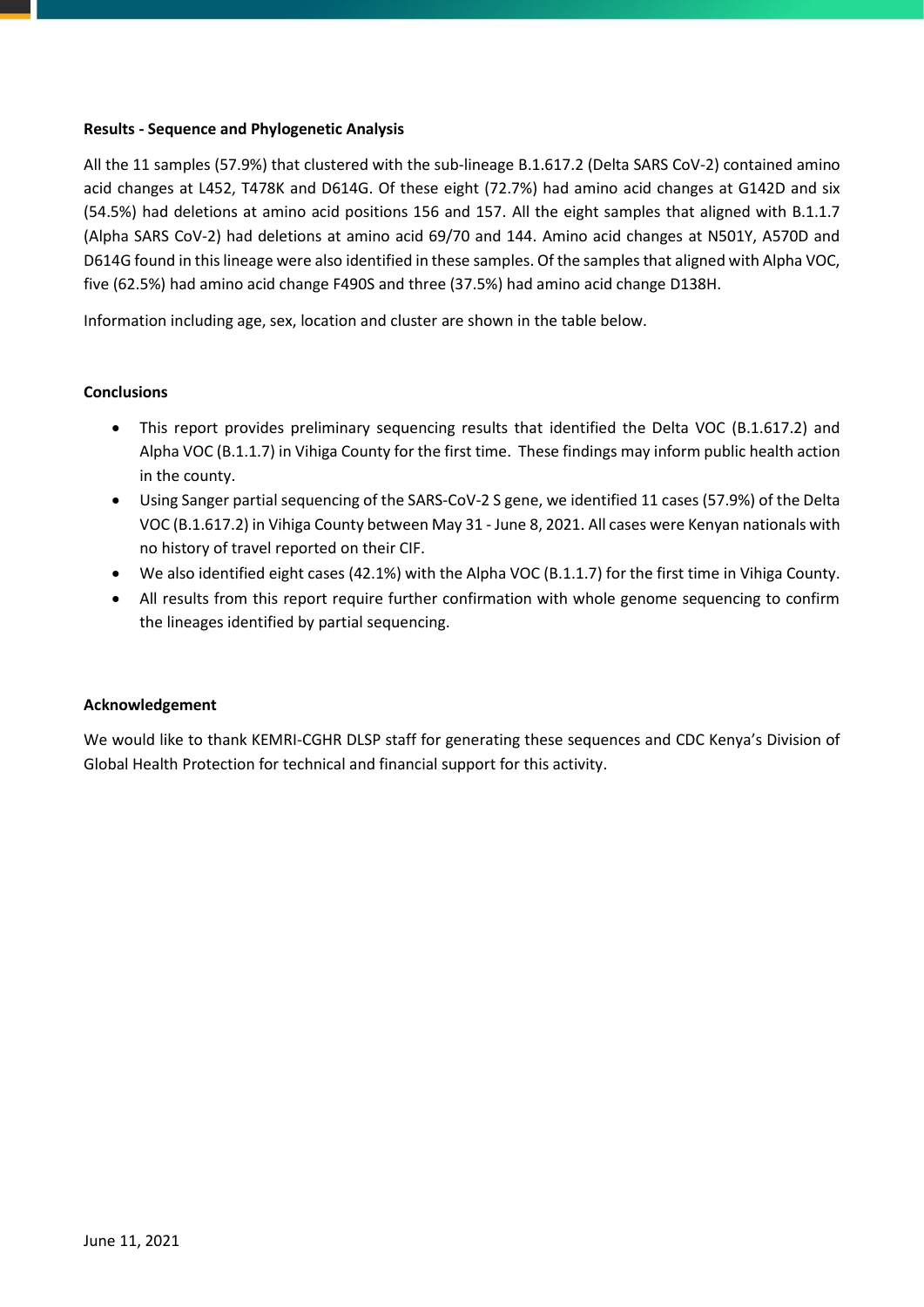### **Results - Sequence and Phylogenetic Analysis**

All the 11 samples (57.9%) that clustered with the sub-lineage B.1.617.2 (Delta SARS CoV-2) contained amino acid changes at L452, T478K and D614G. Of these eight (72.7%) had amino acid changes at G142D and six (54.5%) had deletions at amino acid positions 156 and 157. All the eight samples that aligned with B.1.1.7 (Alpha SARS CoV-2) had deletions at amino acid 69/70 and 144. Amino acid changes at N501Y, A570D and D614G found in this lineage were also identified in these samples. Of the samples that aligned with Alpha VOC, five (62.5%) had amino acid change F490S and three (37.5%) had amino acid change D138H.

Information including age, sex, location and cluster are shown in the table below.

# **Conclusions**

- This report provides preliminary sequencing results that identified the Delta VOC (B.1.617.2) and Alpha VOC (B.1.1.7) in Vihiga County for the first time. These findings may inform public health action in the county.
- Using Sanger partial sequencing of the SARS-CoV-2 S gene, we identified 11 cases (57.9%) of the Delta VOC (B.1.617.2) in Vihiga County between May 31 - June 8, 2021. All cases were Kenyan nationals with no history of travel reported on their CIF.
- We also identified eight cases (42.1%) with the Alpha VOC (B.1.1.7) for the first time in Vihiga County.
- All results from this report require further confirmation with whole genome sequencing to confirm the lineages identified by partial sequencing.

# **Acknowledgement**

We would like to thank KEMRI-CGHR DLSP staff for generating these sequences and CDC Kenya's Division of Global Health Protection for technical and financial support for this activity.